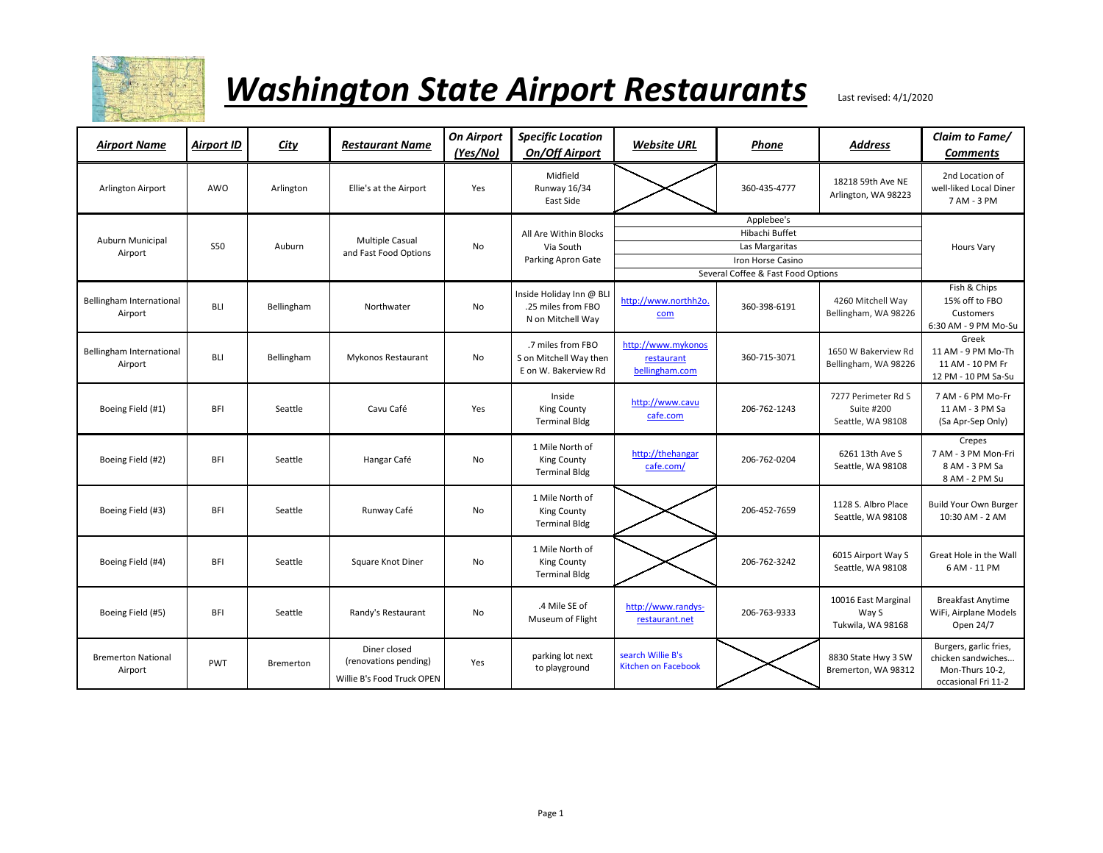

| <b>Airport Name</b>                  | <b>Airport ID</b> | City       | <b>Restaurant Name</b>                                              | <b>On Airport</b><br>(Yes/No) | <b>Specific Location</b><br><b>On/Off Airport</b>                   | <b>Website URL</b>                                 | Phone                              | <b>Address</b>                                                | Claim to Fame/<br><b>Comments</b>                                                      |
|--------------------------------------|-------------------|------------|---------------------------------------------------------------------|-------------------------------|---------------------------------------------------------------------|----------------------------------------------------|------------------------------------|---------------------------------------------------------------|----------------------------------------------------------------------------------------|
| Arlington Airport                    | AWO               | Arlington  | Ellie's at the Airport                                              | Yes                           | Midfield<br>Runway 16/34<br>East Side                               |                                                    | 360-435-4777                       | 18218 59th Ave NE<br>Arlington, WA 98223                      | 2nd Location of<br>well-liked Local Diner<br>7 AM - 3 PM                               |
|                                      |                   |            |                                                                     |                               |                                                                     |                                                    | Applebee's                         |                                                               |                                                                                        |
| Auburn Municipal<br>Airport          |                   |            | <b>Multiple Casual</b>                                              |                               | All Are Within Blocks                                               |                                                    | Hibachi Buffet                     |                                                               |                                                                                        |
|                                      | <b>S50</b>        | Auburn     | and Fast Food Options                                               | No                            | Via South                                                           |                                                    | Las Margaritas                     |                                                               | Hours Vary                                                                             |
|                                      |                   |            |                                                                     |                               | Parking Apron Gate                                                  |                                                    | Iron Horse Casino                  |                                                               |                                                                                        |
|                                      |                   |            |                                                                     |                               |                                                                     |                                                    | Several Coffee & Fast Food Options |                                                               |                                                                                        |
| Bellingham International<br>Airport  | <b>BLI</b>        | Bellingham | Northwater                                                          | No                            | Inside Holiday Inn @ BL<br>.25 miles from FBO<br>N on Mitchell Way  | http://www.northh2o<br>com                         | 360-398-6191                       | 4260 Mitchell Way<br>Bellingham, WA 98226                     | Fish & Chips<br>15% off to FBO<br>Customers<br>6:30 AM - 9 PM Mo-Su                    |
| Bellingham International<br>Airport  | <b>BLI</b>        | Bellingham | Mykonos Restaurant                                                  | No                            | .7 miles from FBO<br>S on Mitchell Way then<br>E on W. Bakerview Rd | http://www.mykonos<br>restaurant<br>bellingham.com | 360-715-3071                       | 1650 W Bakerview Rd<br>Bellingham, WA 98226                   | Greek<br>11 AM - 9 PM Mo-Th<br>11 AM - 10 PM Fr<br>12 PM - 10 PM Sa-Su                 |
| Boeing Field (#1)                    | <b>BFI</b>        | Seattle    | Cavu Café                                                           | Yes                           | Inside<br>King County<br><b>Terminal Bldg</b>                       | http://www.cavu<br>cafe.com                        | 206-762-1243                       | 7277 Perimeter Rd S<br><b>Suite #200</b><br>Seattle, WA 98108 | 7 AM - 6 PM Mo-Fr<br>11 AM - 3 PM Sa<br>(Sa Apr-Sep Only)                              |
| Boeing Field (#2)                    | <b>BFI</b>        | Seattle    | Hangar Café                                                         | No                            | 1 Mile North of<br>King County<br><b>Terminal Bldg</b>              | http://thehangar<br>cafe.com/                      | 206-762-0204                       | 6261 13th Ave S<br>Seattle, WA 98108                          | Crepes<br>7 AM - 3 PM Mon-Fri<br>8 AM - 3 PM Sa<br>8 AM - 2 PM Su                      |
| Boeing Field (#3)                    | <b>BFI</b>        | Seattle    | Runway Café                                                         | No                            | 1 Mile North of<br>King County<br><b>Terminal Bldg</b>              |                                                    | 206-452-7659                       | 1128 S. Albro Place<br>Seattle, WA 98108                      | <b>Build Your Own Burger</b><br>10:30 AM - 2 AM                                        |
| Boeing Field (#4)                    | <b>BFI</b>        | Seattle    | Square Knot Diner                                                   | <b>No</b>                     | 1 Mile North of<br>King County<br><b>Terminal Bldg</b>              |                                                    | 206-762-3242                       | 6015 Airport Way S<br>Seattle, WA 98108                       | Great Hole in the Wall<br>6 AM - 11 PM                                                 |
| Boeing Field (#5)                    | <b>BFI</b>        | Seattle    | Randy's Restaurant                                                  | <b>No</b>                     | .4 Mile SE of<br>Museum of Flight                                   | http://www.randys-<br>restaurant.net               | 206-763-9333                       | 10016 East Marginal<br>Way S<br>Tukwila, WA 98168             | <b>Breakfast Anytime</b><br>WiFi, Airplane Models<br>Open 24/7                         |
| <b>Bremerton National</b><br>Airport | PWT               | Bremerton  | Diner closed<br>(renovations pending)<br>Willie B's Food Truck OPEN | Yes                           | parking lot next<br>to playground                                   | search Willie B's<br><b>Kitchen on Facebook</b>    |                                    | 8830 State Hwy 3 SW<br>Bremerton, WA 98312                    | Burgers, garlic fries,<br>chicken sandwiches<br>Mon-Thurs 10-2,<br>occasional Fri 11-2 |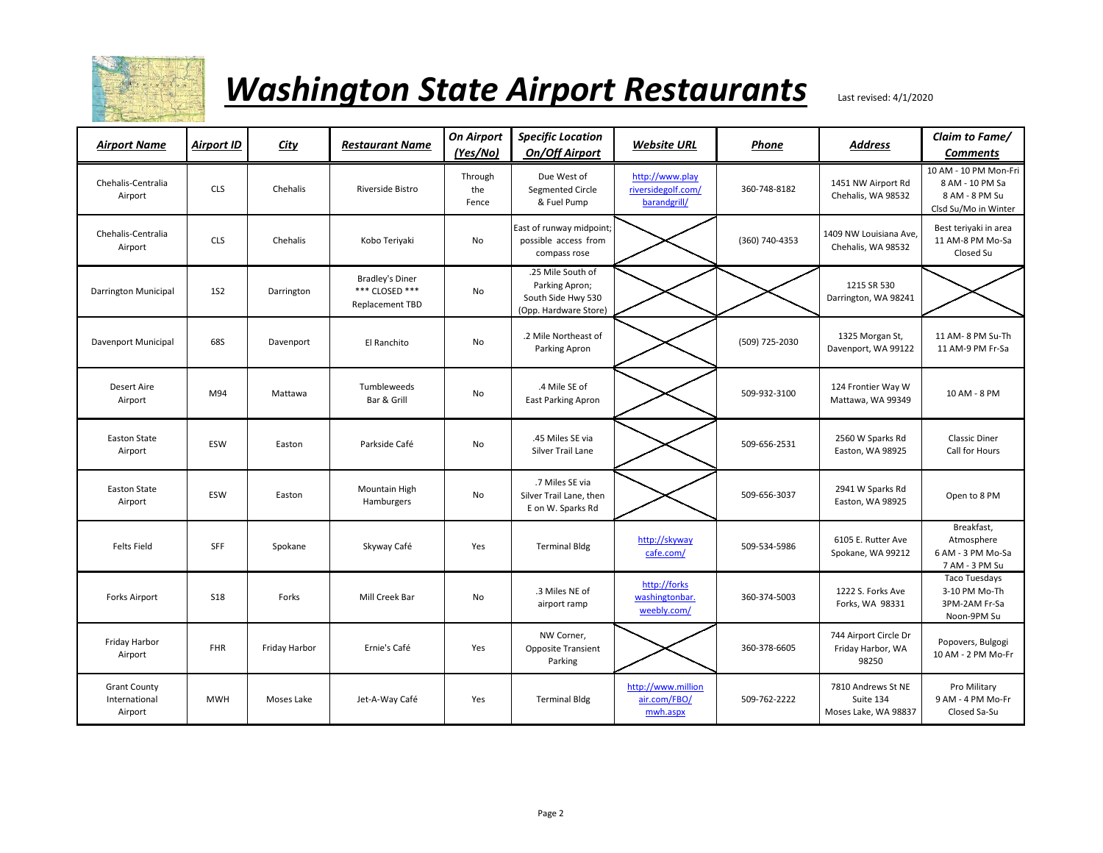

| Airport Name                                    | <b>Airport ID</b> | City          | <b>Restaurant Name</b>                                      | <b>On Airport</b><br>(Yes/No) | <b>Specific Location</b><br><b>On/Off Airport</b>                                  | <b>Website URL</b>                                    | Phone          | <b>Address</b>                                          | Claim to Fame/<br><b>Comments</b>                                                  |
|-------------------------------------------------|-------------------|---------------|-------------------------------------------------------------|-------------------------------|------------------------------------------------------------------------------------|-------------------------------------------------------|----------------|---------------------------------------------------------|------------------------------------------------------------------------------------|
| Chehalis-Centralia<br>Airport                   | <b>CLS</b>        | Chehalis      | Riverside Bistro                                            | Through<br>the<br>Fence       | Due West of<br>Segmented Circle<br>& Fuel Pump                                     | http://www.play<br>riversidegolf.com/<br>barandgrill/ | 360-748-8182   | 1451 NW Airport Rd<br>Chehalis, WA 98532                | 10 AM - 10 PM Mon-Fri<br>8 AM - 10 PM Sa<br>8 AM - 8 PM Su<br>Clsd Su/Mo in Winter |
| Chehalis-Centralia<br>Airport                   | <b>CLS</b>        | Chehalis      | Kobo Teriyaki                                               | No                            | East of runway midpoint;<br>possible access from<br>compass rose                   |                                                       | (360) 740-4353 | 1409 NW Louisiana Ave.<br>Chehalis, WA 98532            | Best teriyaki in area<br>11 AM-8 PM Mo-Sa<br>Closed Su                             |
| Darrington Municipal                            | <b>1S2</b>        | Darrington    | <b>Bradley's Diner</b><br>*** CLOSED ***<br>Replacement TBD | <b>No</b>                     | .25 Mile South of<br>Parking Apron;<br>South Side Hwy 530<br>(Opp. Hardware Store) |                                                       |                | 1215 SR 530<br>Darrington, WA 98241                     |                                                                                    |
| Davenport Municipal                             | 68S               | Davenport     | El Ranchito                                                 | No                            | .2 Mile Northeast of<br>Parking Apron                                              |                                                       | (509) 725-2030 | 1325 Morgan St,<br>Davenport, WA 99122                  | 11 AM- 8 PM Su-Th<br>11 AM-9 PM Fr-Sa                                              |
| <b>Desert Aire</b><br>Airport                   | M94               | Mattawa       | Tumbleweeds<br>Bar & Grill                                  | <b>No</b>                     | .4 Mile SE of<br><b>East Parking Apron</b>                                         |                                                       | 509-932-3100   | 124 Frontier Way W<br>Mattawa, WA 99349                 | 10 AM - 8 PM                                                                       |
| <b>Easton State</b><br>Airport                  | ESW               | Easton        | Parkside Café                                               | No                            | .45 Miles SE via<br>Silver Trail Lane                                              |                                                       | 509-656-2531   | 2560 W Sparks Rd<br>Easton, WA 98925                    | <b>Classic Diner</b><br>Call for Hours                                             |
| <b>Easton State</b><br>Airport                  | ESW               | Easton        | Mountain High<br>Hamburgers                                 | No                            | .7 Miles SE via<br>Silver Trail Lane, then<br>E on W. Sparks Rd                    |                                                       | 509-656-3037   | 2941 W Sparks Rd<br>Easton, WA 98925                    | Open to 8 PM                                                                       |
| <b>Felts Field</b>                              | SFF               | Spokane       | Skyway Café                                                 | Yes                           | <b>Terminal Bldg</b>                                                               | http://skyway<br>cafe.com/                            | 509-534-5986   | 6105 E. Rutter Ave<br>Spokane, WA 99212                 | Breakfast,<br>Atmosphere<br>6 AM - 3 PM Mo-Sa<br>7 AM - 3 PM Su                    |
| <b>Forks Airport</b>                            | <b>S18</b>        | Forks         | Mill Creek Bar                                              | No                            | .3 Miles NE of<br>airport ramp                                                     | http://forks<br>washingtonbar.<br>weebly.com/         | 360-374-5003   | 1222 S. Forks Ave<br>Forks, WA 98331                    | <b>Taco Tuesdays</b><br>3-10 PM Mo-Th<br>3PM-2AM Fr-Sa<br>Noon-9PM Su              |
| Friday Harbor<br>Airport                        | <b>FHR</b>        | Friday Harbor | Ernie's Café                                                | Yes                           | NW Corner,<br>Opposite Transient<br>Parking                                        |                                                       | 360-378-6605   | 744 Airport Circle Dr<br>Friday Harbor, WA<br>98250     | Popovers, Bulgogi<br>10 AM - 2 PM Mo-Fr                                            |
| <b>Grant County</b><br>International<br>Airport | <b>MWH</b>        | Moses Lake    | Jet-A-Way Café                                              | Yes                           | <b>Terminal Bldg</b>                                                               | http://www.million<br>air.com/FBO/<br>mwh.aspx        | 509-762-2222   | 7810 Andrews St NE<br>Suite 134<br>Moses Lake, WA 98837 | Pro Military<br>9 AM - 4 PM Mo-Fr<br>Closed Sa-Su                                  |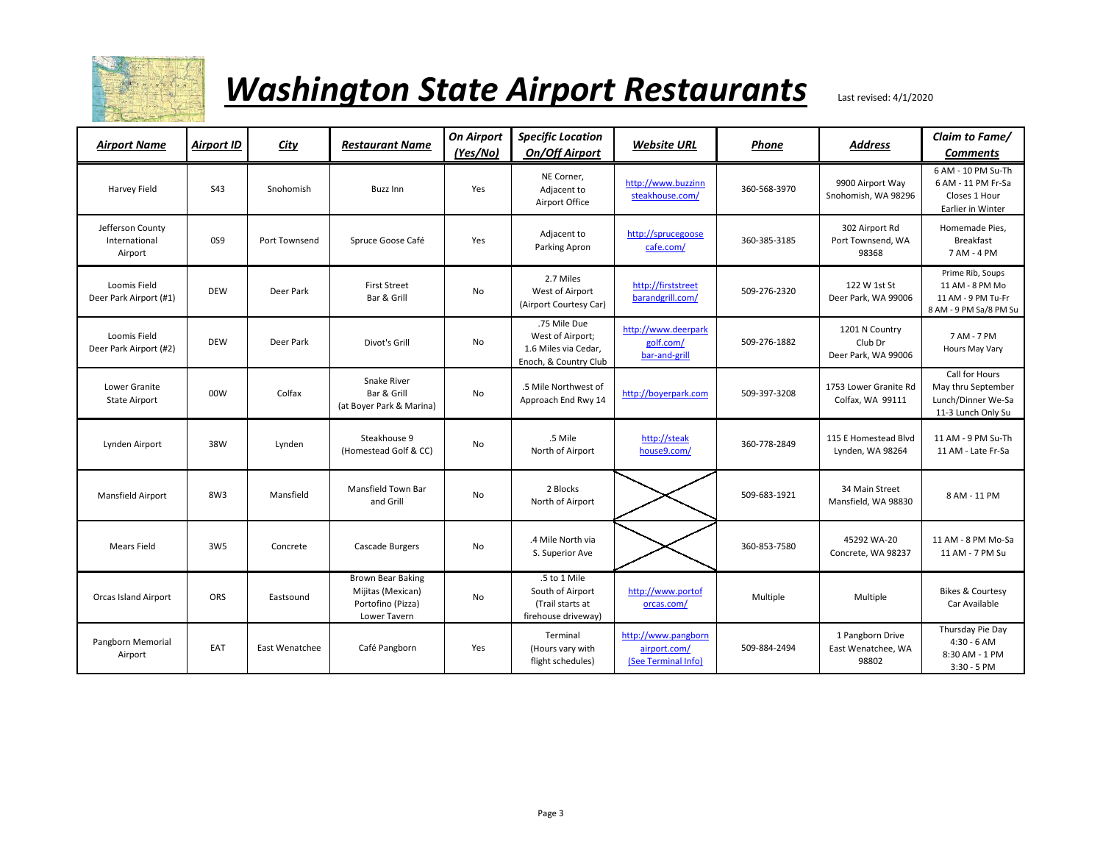

| <b>Airport Name</b>                          | <b>Airport ID</b> | <b>City</b>    | <b>Restaurant Name</b>                                                             | <b>On Airport</b><br>(Yes/No) | <b>Specific Location</b><br><b>On/Off Airport</b>                                 | <b>Website URL</b>                                         | Phone        | <b>Address</b>                                   | Claim to Fame/<br><b>Comments</b>                                                   |
|----------------------------------------------|-------------------|----------------|------------------------------------------------------------------------------------|-------------------------------|-----------------------------------------------------------------------------------|------------------------------------------------------------|--------------|--------------------------------------------------|-------------------------------------------------------------------------------------|
| Harvey Field                                 | S43               | Snohomish      | <b>Buzz Inn</b>                                                                    | Yes                           | NE Corner,<br>Adjacent to<br>Airport Office                                       | http://www.buzzinn<br>steakhouse.com/                      | 360-568-3970 | 9900 Airport Way<br>Snohomish, WA 98296          | 6 AM - 10 PM Su-Th<br>6 AM - 11 PM Fr-Sa<br>Closes 1 Hour<br>Earlier in Winter      |
| Jefferson County<br>International<br>Airport | 0S9               | Port Townsend  | Spruce Goose Café                                                                  | Yes                           | Adjacent to<br>Parking Apron                                                      | http://sprucegoose<br>cafe.com/                            | 360-385-3185 | 302 Airport Rd<br>Port Townsend, WA<br>98368     | Homemade Pies,<br><b>Breakfast</b><br>7 AM - 4 PM                                   |
| Loomis Field<br>Deer Park Airport (#1)       | <b>DEW</b>        | Deer Park      | <b>First Street</b><br>Bar & Grill                                                 | No                            | 2.7 Miles<br>West of Airport<br>(Airport Courtesy Car)                            | http://firststreet<br>barandgrill.com/                     | 509-276-2320 | 122 W 1st St<br>Deer Park, WA 99006              | Prime Rib, Soups<br>11 AM - 8 PM Mo<br>11 AM - 9 PM Tu-Fr<br>8 AM - 9 PM Sa/8 PM Su |
| Loomis Field<br>Deer Park Airport (#2)       | <b>DEW</b>        | Deer Park      | Divot's Grill                                                                      | No                            | .75 Mile Due<br>West of Airport;<br>1.6 Miles via Cedar,<br>Enoch, & Country Club | http://www.deerpark<br>golf.com/<br>bar-and-grill          | 509-276-1882 | 1201 N Country<br>Club Dr<br>Deer Park, WA 99006 | 7 AM - 7 PM<br>Hours May Vary                                                       |
| Lower Granite<br><b>State Airport</b>        | 00W               | Colfax         | Snake River<br>Bar & Grill<br>(at Boyer Park & Marina)                             | No                            | .5 Mile Northwest of<br>Approach End Rwy 14                                       | http://boverpark.com                                       | 509-397-3208 | 1753 Lower Granite Rd<br>Colfax, WA 99111        | Call for Hours<br>May thru September<br>Lunch/Dinner We-Sa<br>11-3 Lunch Only Su    |
| Lynden Airport                               | 38W               | Lynden         | Steakhouse 9<br>(Homestead Golf & CC)                                              | No                            | .5 Mile<br>North of Airport                                                       | http://steak<br>house9.com/                                | 360-778-2849 | 115 E Homestead Blvd<br>Lynden, WA 98264         | 11 AM - 9 PM Su-Th<br>11 AM - Late Fr-Sa                                            |
| Mansfield Airport                            | 8W3               | Mansfield      | Mansfield Town Bar<br>and Grill                                                    | No                            | 2 Blocks<br>North of Airport                                                      |                                                            | 509-683-1921 | 34 Main Street<br>Mansfield, WA 98830            | 8 AM - 11 PM                                                                        |
| <b>Mears Field</b>                           | 3W <sub>5</sub>   | Concrete       | Cascade Burgers                                                                    | No                            | .4 Mile North via<br>S. Superior Ave                                              |                                                            | 360-853-7580 | 45292 WA-20<br>Concrete, WA 98237                | 11 AM - 8 PM Mo-Sa<br>11 AM - 7 PM Su                                               |
| Orcas Island Airport                         | ORS               | Eastsound      | <b>Brown Bear Baking</b><br>Mijitas (Mexican)<br>Portofino (Pizza)<br>Lower Tavern | No                            | .5 to 1 Mile<br>South of Airport<br>(Trail starts at<br>firehouse driveway)       | http://www.portof<br>orcas.com/                            | Multiple     | Multiple                                         | <b>Bikes &amp; Courtesy</b><br>Car Available                                        |
| Pangborn Memorial<br>Airport                 | EAT               | East Wenatchee | Café Pangborn                                                                      | Yes                           | Terminal<br>(Hours vary with<br>flight schedules)                                 | http://www.pangborn<br>airport.com/<br>(See Terminal Info) | 509-884-2494 | 1 Pangborn Drive<br>East Wenatchee, WA<br>98802  | Thursday Pie Day<br>$4:30 - 6 AM$<br>8:30 AM - 1 PM<br>$3:30 - 5$ PM                |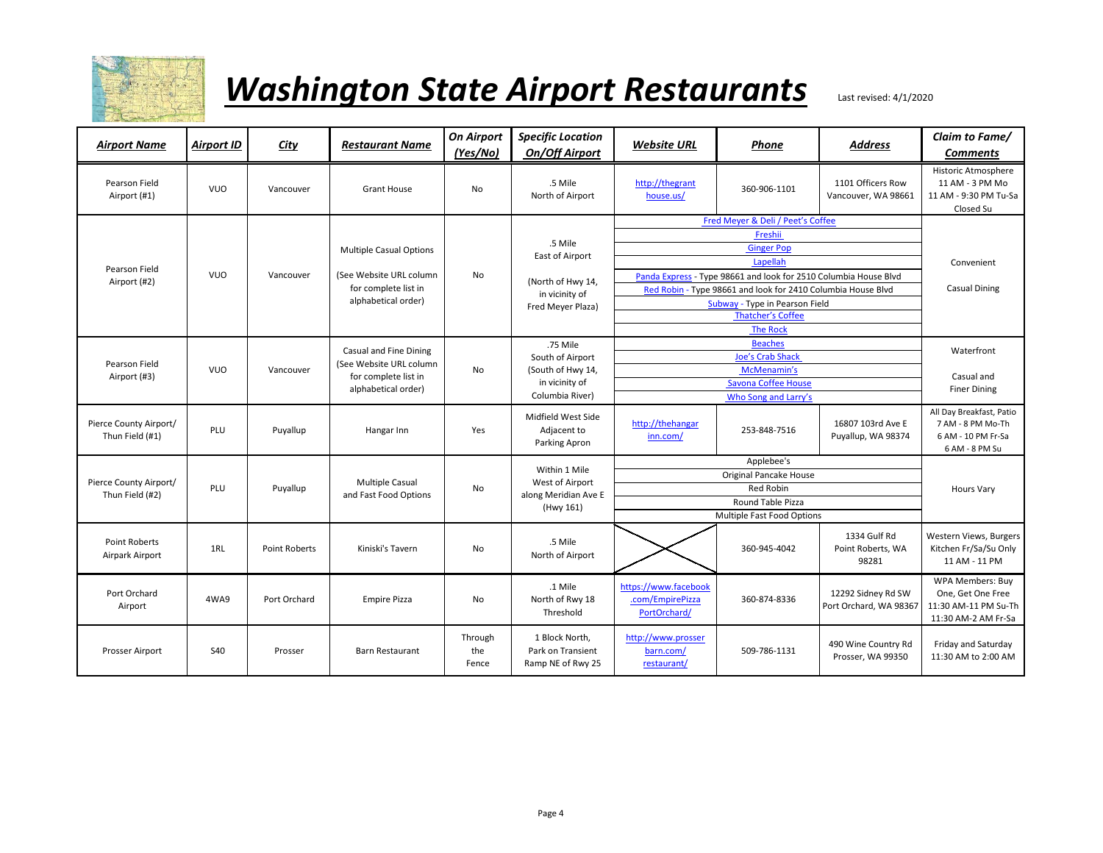

| <b>Airport Name</b>                       | <b>Airport ID</b> | <b>City</b>          | <b>Restaurant Name</b>                                                  | <b>On Airport</b><br>(Yes/No) | <b>Specific Location</b><br><b>On/Off Airport</b>        | <b>Website URL</b>                                       | Phone                                                            | <b>Address</b>                               | Claim to Fame/<br><b>Comments</b>                                                     |  |  |
|-------------------------------------------|-------------------|----------------------|-------------------------------------------------------------------------|-------------------------------|----------------------------------------------------------|----------------------------------------------------------|------------------------------------------------------------------|----------------------------------------------|---------------------------------------------------------------------------------------|--|--|
| Pearson Field<br>Airport (#1)             | <b>VUO</b>        | Vancouver            | Grant House                                                             | <b>No</b>                     | .5 Mile<br>North of Airport                              | http://thegrant<br>house.us/                             | 360-906-1101                                                     | 1101 Officers Row<br>Vancouver, WA 98661     | Historic Atmosphere<br>11 AM - 3 PM Mo<br>11 AM - 9:30 PM Tu-Sa<br>Closed Su          |  |  |
|                                           |                   |                      |                                                                         |                               |                                                          |                                                          | Fred Meyer & Deli / Peet's Coffee                                |                                              |                                                                                       |  |  |
|                                           |                   |                      |                                                                         |                               | .5 Mile                                                  |                                                          | Freshii                                                          |                                              |                                                                                       |  |  |
|                                           |                   |                      | <b>Multiple Casual Options</b>                                          |                               | East of Airport                                          |                                                          | <b>Ginger Pop</b>                                                |                                              |                                                                                       |  |  |
| Pearson Field                             |                   |                      |                                                                         |                               |                                                          |                                                          | Lapellah                                                         |                                              | Convenient                                                                            |  |  |
| Airport (#2)                              | <b>VUO</b>        | Vancouver            | (See Website URL column                                                 | <b>No</b>                     | (North of Hwy 14,                                        |                                                          | Panda Express - Type 98661 and look for 2510 Columbia House Blvd |                                              | <b>Casual Dining</b>                                                                  |  |  |
|                                           |                   |                      | for complete list in                                                    |                               | in vicinity of                                           |                                                          | Red Robin - Type 98661 and look for 2410 Columbia House Blvd     |                                              |                                                                                       |  |  |
|                                           |                   |                      | alphabetical order)                                                     |                               | Fred Meyer Plaza)                                        |                                                          | Subway - Type in Pearson Field                                   |                                              |                                                                                       |  |  |
|                                           |                   |                      |                                                                         |                               |                                                          |                                                          | <b>Thatcher's Coffee</b>                                         |                                              |                                                                                       |  |  |
|                                           |                   |                      |                                                                         |                               |                                                          | <b>The Rock</b>                                          |                                                                  |                                              |                                                                                       |  |  |
|                                           |                   |                      | Casual and Fine Dining                                                  |                               | .75 Mile                                                 | <b>Beaches</b>                                           |                                                                  |                                              | Waterfront                                                                            |  |  |
| Pearson Field                             |                   | Vancouver            | (See Website URL column)<br>for complete list in<br>alphabetical order) |                               | South of Airport<br>(South of Hwy 14,<br>in vicinity of  |                                                          | <b>Joe's Crab Shack</b>                                          |                                              |                                                                                       |  |  |
| Airport (#3)                              | <b>VUO</b>        |                      |                                                                         | No                            |                                                          |                                                          | McMenamin's                                                      |                                              | Casual and                                                                            |  |  |
|                                           |                   |                      |                                                                         |                               | Columbia River)                                          |                                                          | <b>Savona Coffee House</b>                                       |                                              | <b>Finer Dining</b>                                                                   |  |  |
|                                           |                   |                      |                                                                         |                               |                                                          |                                                          | Who Song and Larry's                                             |                                              |                                                                                       |  |  |
| Pierce County Airport/<br>Thun Field (#1) | PLU               | Puyallup             | Hangar Inn                                                              | Yes                           | Midfield West Side<br>Adjacent to<br>Parking Apron       | http://thehangar<br>inn.com/                             | 253-848-7516                                                     | 16807 103rd Ave E<br>Puyallup, WA 98374      | All Day Breakfast, Patio<br>7 AM - 8 PM Mo-Th<br>6 AM - 10 PM Fr-Sa<br>6 AM - 8 PM Su |  |  |
|                                           |                   |                      |                                                                         |                               |                                                          |                                                          | Applebee's                                                       |                                              |                                                                                       |  |  |
|                                           |                   |                      |                                                                         |                               | Within 1 Mile                                            |                                                          | <b>Hours Vary</b>                                                |                                              |                                                                                       |  |  |
| Pierce County Airport/<br>Thun Field (#2) | PLU               | Puyallup             | Multiple Casual<br>and Fast Food Options                                | No                            | West of Airport<br>along Meridian Ave E                  |                                                          |                                                                  |                                              |                                                                                       |  |  |
|                                           |                   |                      |                                                                         |                               | (Hwy 161)                                                |                                                          | Round Table Pizza                                                |                                              |                                                                                       |  |  |
|                                           |                   |                      |                                                                         |                               |                                                          | Multiple Fast Food Options                               |                                                                  |                                              |                                                                                       |  |  |
| <b>Point Roberts</b><br>Airpark Airport   | 1RL               | <b>Point Roberts</b> | Kiniski's Tavern                                                        | <b>No</b>                     | .5 Mile<br>North of Airport                              |                                                          | 360-945-4042                                                     | 1334 Gulf Rd<br>Point Roberts, WA<br>98281   | Western Views, Burgers<br>Kitchen Fr/Sa/Su Only<br>11 AM - 11 PM                      |  |  |
| Port Orchard<br>Airport                   | 4WA9              | Port Orchard         | <b>Empire Pizza</b>                                                     | <b>No</b>                     | .1 Mile<br>North of Rwy 18<br>Threshold                  | https://www.facebook<br>.com/EmpirePizza<br>PortOrchard/ | 360-874-8336                                                     | 12292 Sidney Rd SW<br>Port Orchard, WA 98367 | WPA Members: Buy<br>One, Get One Free<br>11:30 AM-11 PM Su-Th<br>11:30 AM-2 AM Fr-Sa  |  |  |
| Prosser Airport                           | S40               | Prosser              | <b>Barn Restaurant</b>                                                  | Through<br>the<br>Fence       | 1 Block North,<br>Park on Transient<br>Ramp NE of Rwy 25 | http://www.prosser<br>barn.com/<br>restaurant/           | 509-786-1131                                                     | 490 Wine Country Rd<br>Prosser, WA 99350     | Friday and Saturday<br>11:30 AM to 2:00 AM                                            |  |  |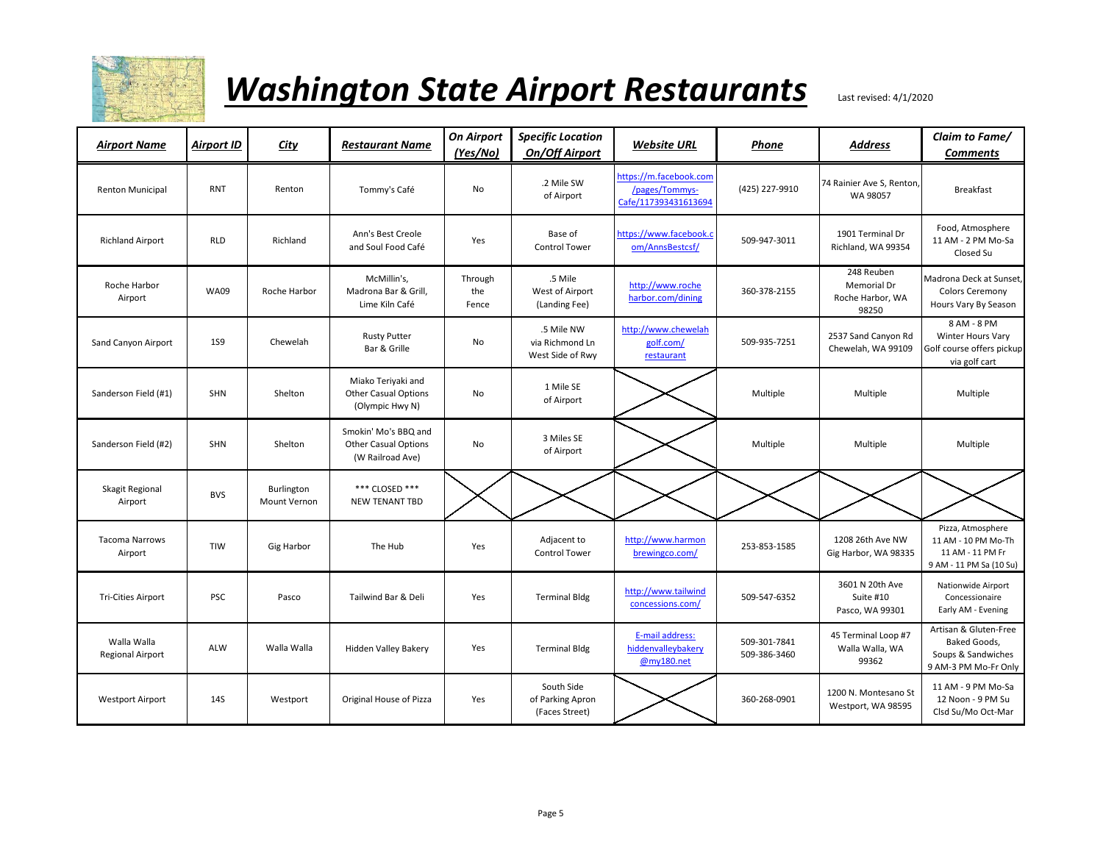

| <b>Airport Name</b>                    | <b>Airport ID</b> | City                              | Restaurant Name                                                         | <b>On Airport</b><br><u>(Yes/No)</u> | <b>Specific Location</b><br><b>On/Off Airport</b> | <b>Website URL</b>                                               | Phone                        | <b>Address</b>                                         | Claim to Fame/<br><b>Comments</b>                                                       |
|----------------------------------------|-------------------|-----------------------------------|-------------------------------------------------------------------------|--------------------------------------|---------------------------------------------------|------------------------------------------------------------------|------------------------------|--------------------------------------------------------|-----------------------------------------------------------------------------------------|
| Renton Municipal                       | <b>RNT</b>        | Renton                            | Tommy's Café                                                            | No                                   | .2 Mile SW<br>of Airport                          | https://m.facebook.com<br>/pages/Tommys-<br>Cafe/117393431613694 | (425) 227-9910               | 74 Rainier Ave S, Renton,<br>WA 98057                  | <b>Breakfast</b>                                                                        |
| <b>Richland Airport</b>                | <b>RLD</b>        | Richland                          | Ann's Best Creole<br>and Soul Food Café                                 | Yes                                  | Base of<br><b>Control Tower</b>                   | https://www.facebook.c<br>om/AnnsBestcsf/                        | 509-947-3011                 | 1901 Terminal Dr<br>Richland, WA 99354                 | Food, Atmosphere<br>11 AM - 2 PM Mo-Sa<br>Closed Su                                     |
| Roche Harbor<br>Airport                | <b>WA09</b>       | Roche Harbor                      | McMillin's,<br>Madrona Bar & Grill,<br>Lime Kiln Café                   | Through<br>the<br>Fence              | .5 Mile<br>West of Airport<br>(Landing Fee)       | http://www.roche<br>harbor.com/dining                            | 360-378-2155                 | 248 Reuben<br>Memorial Dr<br>Roche Harbor, WA<br>98250 | Madrona Deck at Sunset,<br><b>Colors Ceremony</b><br>Hours Vary By Season               |
| Sand Canyon Airport                    | <b>1S9</b>        | Chewelah                          | <b>Rusty Putter</b><br>Bar & Grille                                     | No                                   | .5 Mile NW<br>via Richmond Ln<br>West Side of Rwy | http://www.chewelah<br>golf.com/<br>restaurant                   | 509-935-7251                 | 2537 Sand Canyon Rd<br>Chewelah, WA 99109              | 8 AM - 8 PM<br>Winter Hours Vary<br>Golf course offers pickup<br>via golf cart          |
| Sanderson Field (#1)                   | <b>SHN</b>        | Shelton                           | Miako Teriyaki and<br><b>Other Casual Options</b><br>(Olympic Hwy N)    | No                                   | 1 Mile SE<br>of Airport                           |                                                                  | Multiple                     | Multiple                                               | Multiple                                                                                |
| Sanderson Field (#2)                   | <b>SHN</b>        | Shelton                           | Smokin' Mo's BBQ and<br><b>Other Casual Options</b><br>(W Railroad Ave) | No                                   | 3 Miles SE<br>of Airport                          |                                                                  | Multiple                     | Multiple                                               | Multiple                                                                                |
| Skagit Regional<br>Airport             | <b>BVS</b>        | Burlington<br><b>Mount Vernon</b> | *** CLOSED ***<br><b>NEW TENANT TBD</b>                                 |                                      |                                                   |                                                                  |                              |                                                        |                                                                                         |
| <b>Tacoma Narrows</b><br>Airport       | TIW               | Gig Harbor                        | The Hub                                                                 | Yes                                  | Adjacent to<br><b>Control Tower</b>               | http://www.harmon<br>brewingco.com/                              | 253-853-1585                 | 1208 26th Ave NW<br>Gig Harbor, WA 98335               | Pizza, Atmosphere<br>11 AM - 10 PM Mo-Th<br>11 AM - 11 PM Fr<br>9 AM - 11 PM Sa (10 Su) |
| <b>Tri-Cities Airport</b>              | PSC               | Pasco                             | Tailwind Bar & Deli                                                     | Yes                                  | <b>Terminal Bldg</b>                              | http://www.tailwind<br>concessions.com/                          | 509-547-6352                 | 3601 N 20th Ave<br>Suite #10<br>Pasco, WA 99301        | Nationwide Airport<br>Concessionaire<br>Early AM - Evening                              |
| Walla Walla<br><b>Regional Airport</b> | ALW               | Walla Walla                       | <b>Hidden Valley Bakery</b>                                             | Yes                                  | <b>Terminal Bldg</b>                              | E-mail address:<br>hiddenvalleybakery<br>@my180.net              | 509-301-7841<br>509-386-3460 | 45 Terminal Loop #7<br>Walla Walla, WA<br>99362        | Artisan & Gluten-Free<br>Baked Goods,<br>Soups & Sandwiches<br>9 AM-3 PM Mo-Fr Only     |
| <b>Westport Airport</b>                | <b>14S</b>        | Westport                          | Original House of Pizza                                                 | Yes                                  | South Side<br>of Parking Apron<br>(Faces Street)  |                                                                  | 360-268-0901                 | 1200 N. Montesano St<br>Westport, WA 98595             | 11 AM - 9 PM Mo-Sa<br>12 Noon - 9 PM Su<br>Clsd Su/Mo Oct-Mar                           |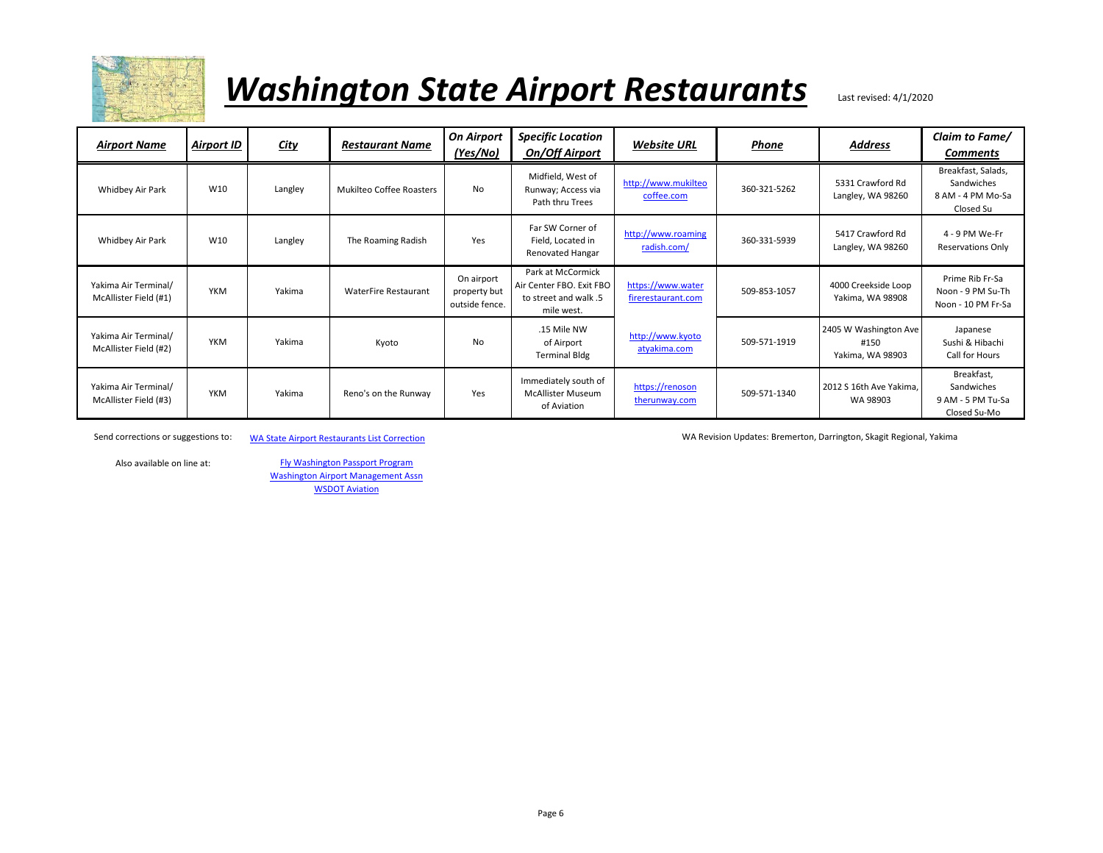

| <b>Airport Name</b>                           | <b>Airport ID</b> | <b>City</b> | <b>Restaurant Name</b>      | <b>On Airport</b><br>(Yes/No)                | <b>Specific Location</b><br><b>On/Off Airport</b>                                    | <b>Website URL</b>                      | Phone        | <b>Address</b>                                    | Claim to Fame/<br><b>Comments</b>                                  |
|-----------------------------------------------|-------------------|-------------|-----------------------------|----------------------------------------------|--------------------------------------------------------------------------------------|-----------------------------------------|--------------|---------------------------------------------------|--------------------------------------------------------------------|
| Whidbey Air Park                              | W10               | Langley     | Mukilteo Coffee Roasters    | <b>No</b>                                    | Midfield, West of<br>Runway; Access via<br>Path thru Trees                           | http://www.mukilteo<br>coffee.com       | 360-321-5262 | 5331 Crawford Rd<br>Langley, WA 98260             | Breakfast, Salads,<br>Sandwiches<br>8 AM - 4 PM Mo-Sa<br>Closed Su |
| Whidbey Air Park                              | W10               | Langley     | The Roaming Radish          | Yes                                          | Far SW Corner of<br>Field, Located in<br>Renovated Hangar                            | http://www.roaming<br>radish.com/       | 360-331-5939 | 5417 Crawford Rd<br>Langley, WA 98260             | 4 - 9 PM We-Fr<br><b>Reservations Only</b>                         |
| Yakima Air Terminal/<br>McAllister Field (#1) | <b>YKM</b>        | Yakima      | <b>WaterFire Restaurant</b> | On airport<br>property but<br>outside fence. | Park at McCormick<br>Air Center FBO. Exit FBO<br>to street and walk .5<br>mile west. | https://www.water<br>firerestaurant.com | 509-853-1057 | 4000 Creekside Loop<br>Yakima, WA 98908           | Prime Rib Fr-Sa<br>Noon - 9 PM Su-Th<br>Noon - 10 PM Fr-Sa         |
| Yakima Air Terminal/<br>McAllister Field (#2) | <b>YKM</b>        | Yakima      | Kyoto                       | No                                           | .15 Mile NW<br>of Airport<br><b>Terminal Bldg</b>                                    | http://www.kyoto<br>atyakima.com        | 509-571-1919 | 2405 W Washington Ave<br>#150<br>Yakima, WA 98903 | Japanese<br>Sushi & Hibachi<br>Call for Hours                      |
| Yakima Air Terminal/<br>McAllister Field (#3) | <b>YKM</b>        | Yakima      | Reno's on the Runway        | Yes                                          | Immediately south of<br><b>McAllister Museum</b><br>of Aviation                      | https://renoson<br>therunway.com        | 509-571-1340 | 2012 S 16th Ave Yakima,<br>WA 98903               | Breakfast,<br>Sandwiches<br>9 AM - 5 PM Tu-Sa<br>Closed Su-Mo      |

Send corrections or suggestions to: [WA State Airport Re](mailto:wbhendrickson@comcast.net?subject=WA%20Airport%20Restaurants%20List%20Correction)staurants List Correction WA Correction WA Revision Updates: Bremerton, Darrington, Skagit Regional, Yakima

Also available on line at:

[Washington Air](https://wama.us/)port Management Assn [Fly Washingt](https://www.flywashington.org/resources.html)on Passport Program [WSD](https://www.wsdot.wa.gov/aviation/SAR/PilotsPage.htm)OT Aviation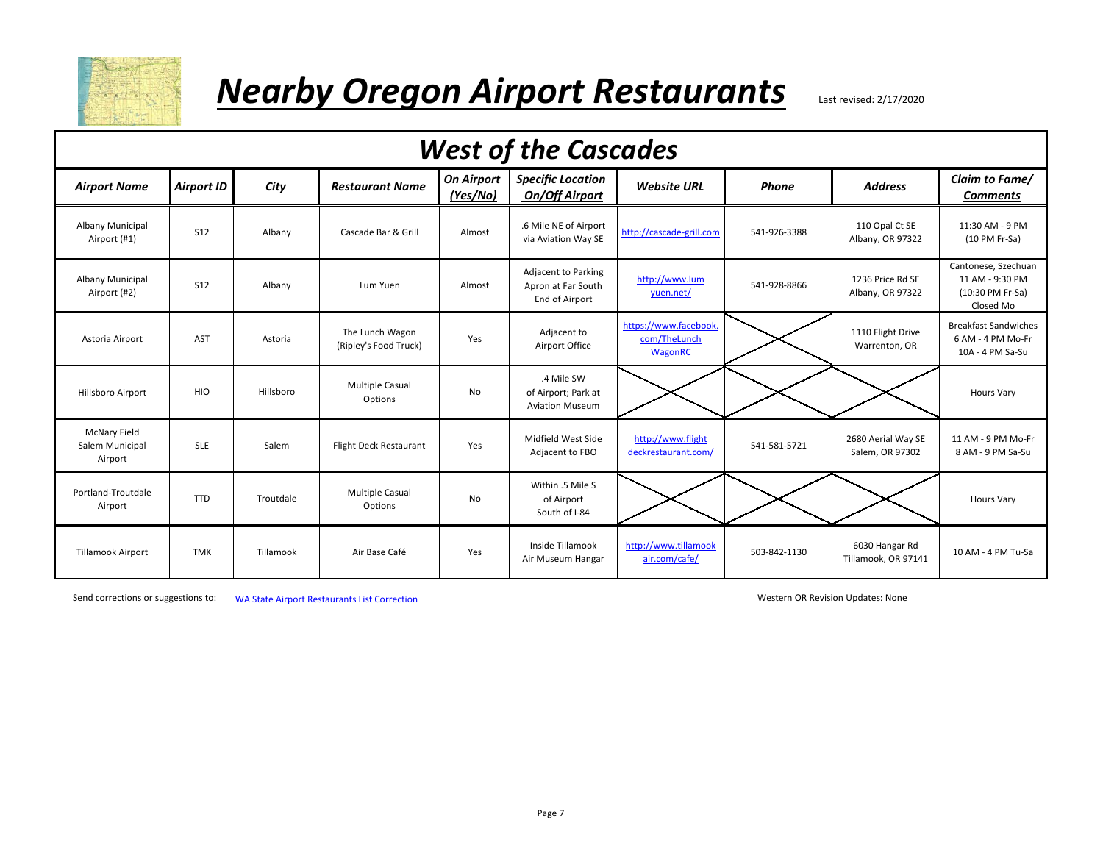

#### **Nearby Oregon Airport Restaurants** Last revised: 2/17/2020

| <b>West of the Cascades</b>                       |                   |             |                                          |                               |                                                             |                                                  |              |                                       |                                                                         |  |  |
|---------------------------------------------------|-------------------|-------------|------------------------------------------|-------------------------------|-------------------------------------------------------------|--------------------------------------------------|--------------|---------------------------------------|-------------------------------------------------------------------------|--|--|
| <b>Airport Name</b>                               | <b>Airport ID</b> | <b>City</b> | <b>Restaurant Name</b>                   | <b>On Airport</b><br>(Yes/No) | <b>Specific Location</b><br><b>On/Off Airport</b>           | <b>Website URL</b>                               | Phone        | <b>Address</b>                        | Claim to Fame/<br><b>Comments</b>                                       |  |  |
| Albany Municipal<br>Airport (#1)                  | S <sub>12</sub>   | Albany      | Cascade Bar & Grill                      | Almost                        | .6 Mile NE of Airport<br>via Aviation Way SE                | http://cascade-grill.com                         | 541-926-3388 | 110 Opal Ct SE<br>Albany, OR 97322    | 11:30 AM - 9 PM<br>(10 PM Fr-Sa)                                        |  |  |
| Albany Municipal<br>Airport (#2)                  | <b>S12</b>        | Albany      | Lum Yuen                                 | Almost                        | Adjacent to Parking<br>Apron at Far South<br>End of Airport | http://www.lum<br>yuen.net/                      | 541-928-8866 | 1236 Price Rd SE<br>Albany, OR 97322  | Cantonese, Szechuan<br>11 AM - 9:30 PM<br>(10:30 PM Fr-Sa)<br>Closed Mo |  |  |
| Astoria Airport                                   | <b>AST</b>        | Astoria     | The Lunch Wagon<br>(Ripley's Food Truck) | Yes                           | Adjacent to<br>Airport Office                               | https://www.facebook.<br>com/TheLunch<br>WagonRC |              | 1110 Flight Drive<br>Warrenton, OR    | <b>Breakfast Sandwiches</b><br>6 AM - 4 PM Mo-Fr<br>10A - 4 PM Sa-Su    |  |  |
| Hillsboro Airport                                 | HIO               | Hillsboro   | <b>Multiple Casual</b><br>Options        | <b>No</b>                     | .4 Mile SW<br>of Airport; Park at<br><b>Aviation Museum</b> |                                                  |              |                                       | <b>Hours Vary</b>                                                       |  |  |
| <b>McNary Field</b><br>Salem Municipal<br>Airport | <b>SLE</b>        | Salem       | Flight Deck Restaurant                   | Yes                           | Midfield West Side<br>Adjacent to FBO                       | http://www.flight<br>deckrestaurant.com/         | 541-581-5721 | 2680 Aerial Way SE<br>Salem, OR 97302 | 11 AM - 9 PM Mo-Fr<br>8 AM - 9 PM Sa-Su                                 |  |  |
| Portland-Troutdale<br>Airport                     | <b>TTD</b>        | Troutdale   | <b>Multiple Casual</b><br>Options        | No                            | Within .5 Mile S<br>of Airport<br>South of I-84             |                                                  |              |                                       | Hours Vary                                                              |  |  |
| <b>Tillamook Airport</b>                          | <b>TMK</b>        | Tillamook   | Air Base Café                            | Yes                           | Inside Tillamook<br>Air Museum Hangar                       | http://www.tillamook<br>air.com/cafe/            | 503-842-1130 | 6030 Hangar Rd<br>Tillamook, OR 97141 | 10 AM - 4 PM Tu-Sa                                                      |  |  |

Send corrections or suggestions to: [WA State Airport Res](mailto:wbhendrickson@comcast.net?subject=WA%20Airport%20Restaurants%20List%20Correction)taurants List Correction

Western OR Revision Updates: None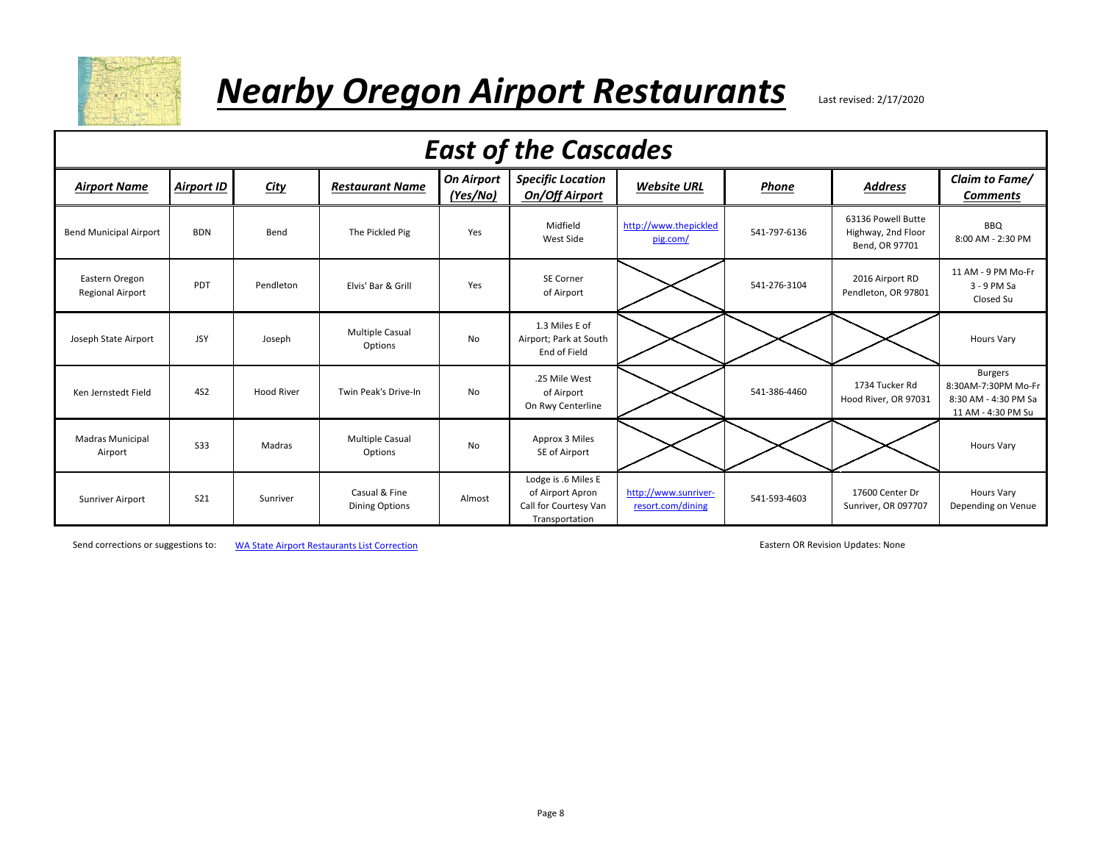

#### *Nearby Oregon Airport Restaurants* Last revised: 2/17/2020

|                                           | <b>East of the Cascades</b> |                   |                                        |                               |                                                                                    |                                           |              |                                                            |                                                                                     |  |  |  |  |
|-------------------------------------------|-----------------------------|-------------------|----------------------------------------|-------------------------------|------------------------------------------------------------------------------------|-------------------------------------------|--------------|------------------------------------------------------------|-------------------------------------------------------------------------------------|--|--|--|--|
| <b>Airport Name</b>                       | <b>Airport ID</b>           | <b>City</b>       | <b>Restaurant Name</b>                 | <b>On Airport</b><br>(Yes/No) | <b>Specific Location</b><br>On/Off Airport                                         | <b>Website URL</b>                        | Phone        | <b>Address</b>                                             | Claim to Fame/<br><b>Comments</b>                                                   |  |  |  |  |
| <b>Bend Municipal Airport</b>             | <b>BDN</b>                  | Bend              | The Pickled Pig                        | Yes                           | Midfield<br>West Side                                                              | http://www.thepickled<br>pig.com/         | 541-797-6136 | 63136 Powell Butte<br>Highway, 2nd Floor<br>Bend, OR 97701 | <b>BBQ</b><br>8:00 AM - 2:30 PM                                                     |  |  |  |  |
| Eastern Oregon<br><b>Regional Airport</b> | PDT                         | Pendleton         | Elvis' Bar & Grill                     | Yes                           | <b>SE Corner</b><br>of Airport                                                     |                                           | 541-276-3104 | 2016 Airport RD<br>Pendleton, OR 97801                     | 11 AM - 9 PM Mo-Fr<br>3 - 9 PM Sa<br>Closed Su                                      |  |  |  |  |
| Joseph State Airport                      | <b>JSY</b>                  | Joseph            | <b>Multiple Casual</b><br>Options      | No                            | 1.3 Miles E of<br>Airport; Park at South<br>End of Field                           |                                           |              |                                                            | <b>Hours Vary</b>                                                                   |  |  |  |  |
| Ken Jernstedt Field                       | 4S <sub>2</sub>             | <b>Hood River</b> | Twin Peak's Drive-In                   | No                            | .25 Mile West<br>of Airport<br>On Rwy Centerline                                   |                                           | 541-386-4460 | 1734 Tucker Rd<br>Hood River, OR 97031                     | <b>Burgers</b><br>8:30AM-7:30PM Mo-Fr<br>8:30 AM - 4:30 PM Sa<br>11 AM - 4:30 PM Su |  |  |  |  |
| <b>Madras Municipal</b><br>Airport        | <b>S33</b>                  | Madras            | <b>Multiple Casual</b><br>Options      | No                            | Approx 3 Miles<br>SE of Airport                                                    |                                           |              |                                                            | <b>Hours Vary</b>                                                                   |  |  |  |  |
| Sunriver Airport                          | <b>S21</b>                  | Sunriver          | Casual & Fine<br><b>Dining Options</b> | Almost                        | Lodge is .6 Miles E<br>of Airport Apron<br>Call for Courtesy Van<br>Transportation | http://www.sunriver-<br>resort.com/dining | 541-593-4603 | 17600 Center Dr<br>Sunriver, OR 097707                     | <b>Hours Vary</b><br>Depending on Venue                                             |  |  |  |  |

Send corrections or suggestions to: [WA State Airport Res](mailto:wbhendrickson@comcast.net?subject=WA%20Airport%20Restaurants%20List%20Correction)taurants List Correction Eastern OR Revision Updates: None